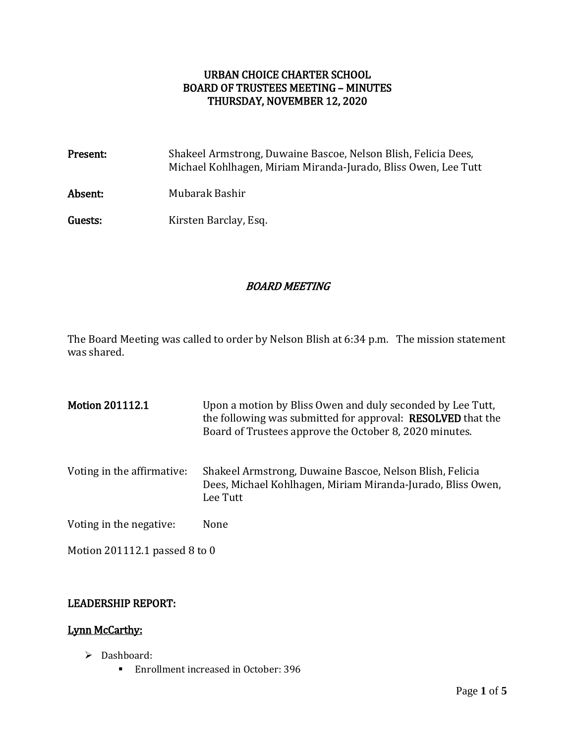## URBAN CHOICE CHARTER SCHOOL BOARD OF TRUSTEES MEETING – MINUTES THURSDAY, NOVEMBER 12, 2020

| Present: | Shakeel Armstrong, Duwaine Bascoe, Nelson Blish, Felicia Dees,<br>Michael Kohlhagen, Miriam Miranda-Jurado, Bliss Owen, Lee Tutt |
|----------|----------------------------------------------------------------------------------------------------------------------------------|
| Absent:  | Mubarak Bashir                                                                                                                   |
| Guests:  | Kirsten Barclay, Esq.                                                                                                            |

## BOARD MEETING

The Board Meeting was called to order by Nelson Blish at 6:34 p.m. The mission statement was shared.

| <b>Motion 201112.1</b>        | Upon a motion by Bliss Owen and duly seconded by Lee Tutt,<br>the following was submitted for approval: <b>RESOLVED</b> that the<br>Board of Trustees approve the October 8, 2020 minutes. |
|-------------------------------|--------------------------------------------------------------------------------------------------------------------------------------------------------------------------------------------|
| Voting in the affirmative:    | Shakeel Armstrong, Duwaine Bascoe, Nelson Blish, Felicia<br>Dees, Michael Kohlhagen, Miriam Miranda-Jurado, Bliss Owen,<br>Lee Tutt                                                        |
| Voting in the negative:       | None                                                                                                                                                                                       |
| Motion 201112.1 passed 8 to 0 |                                                                                                                                                                                            |

### LEADERSHIP REPORT:

### Lynn McCarthy:

- > Dashboard:
	- **Enrollment increased in October: 396**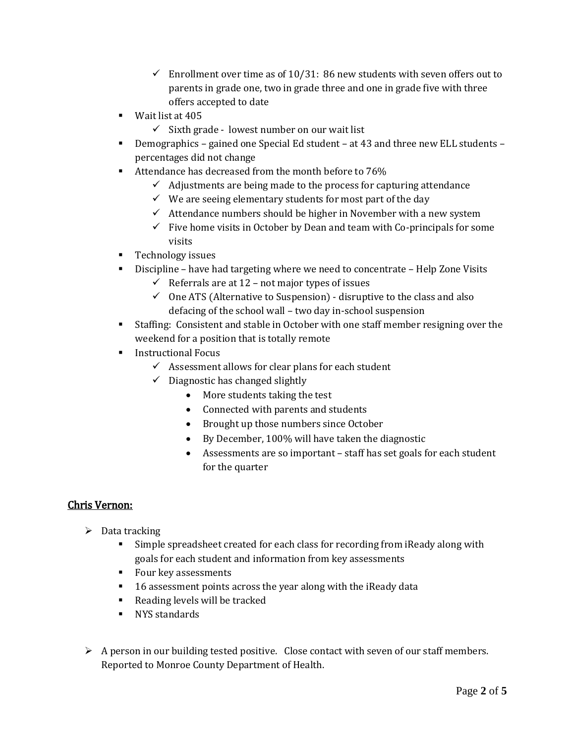- $\checkmark$  Enrollment over time as of 10/31: 86 new students with seven offers out to parents in grade one, two in grade three and one in grade five with three offers accepted to date
- Wait list at 405
	- $\checkmark$  Sixth grade lowest number on our wait list
- Demographics gained one Special Ed student at 43 and three new ELL students percentages did not change
- Attendance has decreased from the month before to 76%
	- $\checkmark$  Adjustments are being made to the process for capturing attendance
	- $\checkmark$  We are seeing elementary students for most part of the day
	- $\checkmark$  Attendance numbers should be higher in November with a new system
	- $\checkmark$  Five home visits in October by Dean and team with Co-principals for some visits
- **Technology issues**
- Discipline have had targeting where we need to concentrate Help Zone Visits
	- $\checkmark$  Referrals are at 12 not major types of issues
	- $\checkmark$  One ATS (Alternative to Suspension) disruptive to the class and also defacing of the school wall – two day in-school suspension
- Staffing: Consistent and stable in October with one staff member resigning over the weekend for a position that is totally remote
- **Instructional Focus** 
	- $\checkmark$  Assessment allows for clear plans for each student
	- $\checkmark$  Diagnostic has changed slightly
		- More students taking the test
		- Connected with parents and students
		- Brought up those numbers since October
		- By December, 100% will have taken the diagnostic
		- Assessments are so important staff has set goals for each student for the quarter

# Chris Vernon:

- $\triangleright$  Data tracking
	- Simple spreadsheet created for each class for recording from iReady along with goals for each student and information from key assessments
	- **Four key assessments**
	- **16** assessment points across the year along with the iReady data
	- Reading levels will be tracked
	- **NYS** standards
- $\triangleright$  A person in our building tested positive. Close contact with seven of our staff members. Reported to Monroe County Department of Health.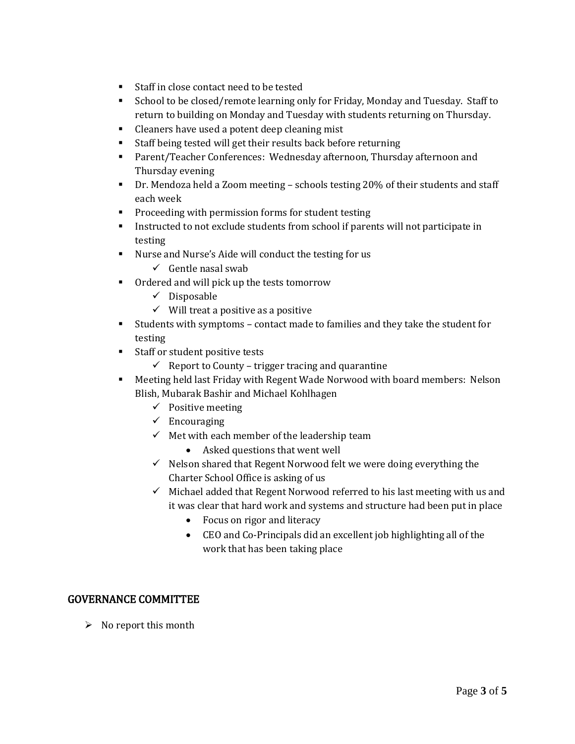- Staff in close contact need to be tested
- School to be closed/remote learning only for Friday, Monday and Tuesday. Staff to return to building on Monday and Tuesday with students returning on Thursday.
- Cleaners have used a potent deep cleaning mist
- Staff being tested will get their results back before returning
- Parent/Teacher Conferences: Wednesday afternoon, Thursday afternoon and Thursday evening
- Dr. Mendoza held a Zoom meeting schools testing 20% of their students and staff each week
- **Proceeding with permission forms for student testing**
- Instructed to not exclude students from school if parents will not participate in testing
- Nurse and Nurse's Aide will conduct the testing for us
	- $\checkmark$  Gentle nasal swab
- Ordered and will pick up the tests tomorrow
	- $\checkmark$  Disposable
	- $\checkmark$  Will treat a positive as a positive
- Students with symptoms contact made to families and they take the student for testing
- **Staff or student positive tests** 
	- $\checkmark$  Report to County trigger tracing and quarantine
- Meeting held last Friday with Regent Wade Norwood with board members: Nelson Blish, Mubarak Bashir and Michael Kohlhagen
	- $\checkmark$  Positive meeting
	- $\checkmark$  Encouraging
	- $\checkmark$  Met with each member of the leadership team
		- Asked questions that went well
	- $\checkmark$  Nelson shared that Regent Norwood felt we were doing everything the Charter School Office is asking of us
	- $\checkmark$  Michael added that Regent Norwood referred to his last meeting with us and it was clear that hard work and systems and structure had been put in place
		- Focus on rigor and literacy
		- CEO and Co-Principals did an excellent job highlighting all of the work that has been taking place

### GOVERNANCE COMMITTEE

 $\triangleright$  No report this month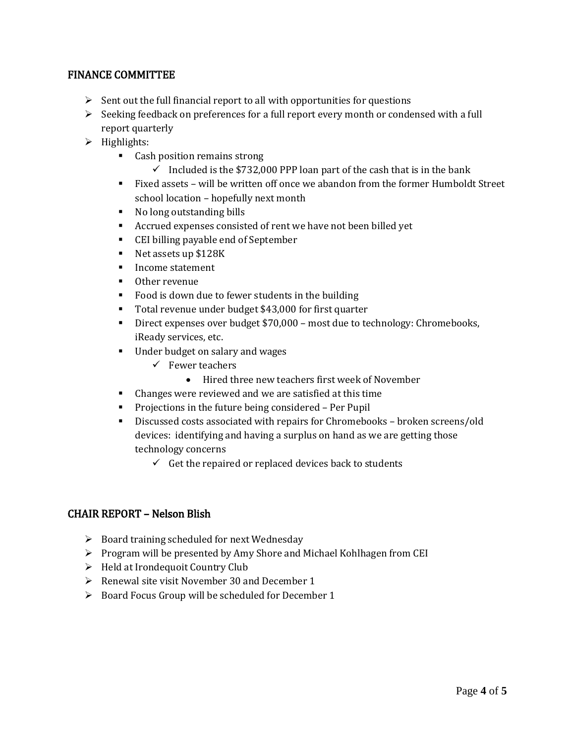### FINANCE COMMITTEE

- $\triangleright$  Sent out the full financial report to all with opportunities for questions
- $\triangleright$  Seeking feedback on preferences for a full report every month or condensed with a full report quarterly
- $\triangleright$  Highlights:
	- Cash position remains strong
		- $\checkmark$  Included is the \$732,000 PPP loan part of the cash that is in the bank
	- Fixed assets will be written off once we abandon from the former Humboldt Street school location – hopefully next month
	- No long outstanding bills
	- Accrued expenses consisted of rent we have not been billed yet
	- CEI billing payable end of September
	- Net assets up \$128K
	- **Income statement**
	- Other revenue
	- Food is down due to fewer students in the building
	- Total revenue under budget \$43,000 for first quarter
	- Direct expenses over budget \$70,000 most due to technology: Chromebooks, iReady services, etc.
	- Under budget on salary and wages
		- $\checkmark$  Fewer teachers
			- Hired three new teachers first week of November
	- Changes were reviewed and we are satisfied at this time
	- **•** Projections in the future being considered Per Pupil
	- Discussed costs associated with repairs for Chromebooks broken screens/old devices: identifying and having a surplus on hand as we are getting those technology concerns
		- $\checkmark$  Get the repaired or replaced devices back to students

### CHAIR REPORT – Nelson Blish

- $\triangleright$  Board training scheduled for next Wednesday
- $\triangleright$  Program will be presented by Amy Shore and Michael Kohlhagen from CEI
- $\triangleright$  Held at Irondequoit Country Club
- $\triangleright$  Renewal site visit November 30 and December 1
- $\triangleright$  Board Focus Group will be scheduled for December 1